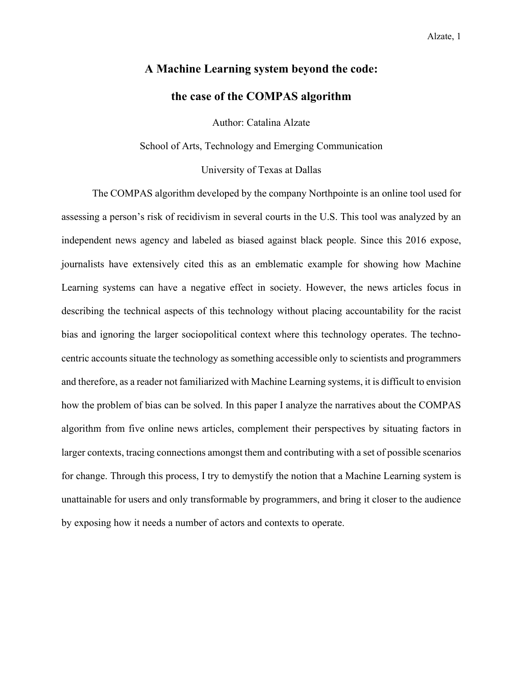# **A Machine Learning system beyond the code: the case of the COMPAS algorithm**

Author: Catalina Alzate

School of Arts, Technology and Emerging Communication

University of Texas at Dallas

The COMPAS algorithm developed by the company Northpointe is an online tool used for assessing a person's risk of recidivism in several courts in the U.S. This tool was analyzed by an independent news agency and labeled as biased against black people. Since this 2016 expose, journalists have extensively cited this as an emblematic example for showing how Machine Learning systems can have a negative effect in society. However, the news articles focus in describing the technical aspects of this technology without placing accountability for the racist bias and ignoring the larger sociopolitical context where this technology operates. The technocentric accounts situate the technology as something accessible only to scientists and programmers and therefore, as a reader not familiarized with Machine Learning systems, it is difficult to envision how the problem of bias can be solved. In this paper I analyze the narratives about the COMPAS algorithm from five online news articles, complement their perspectives by situating factors in larger contexts, tracing connections amongst them and contributing with a set of possible scenarios for change. Through this process, I try to demystify the notion that a Machine Learning system is unattainable for users and only transformable by programmers, and bring it closer to the audience by exposing how it needs a number of actors and contexts to operate.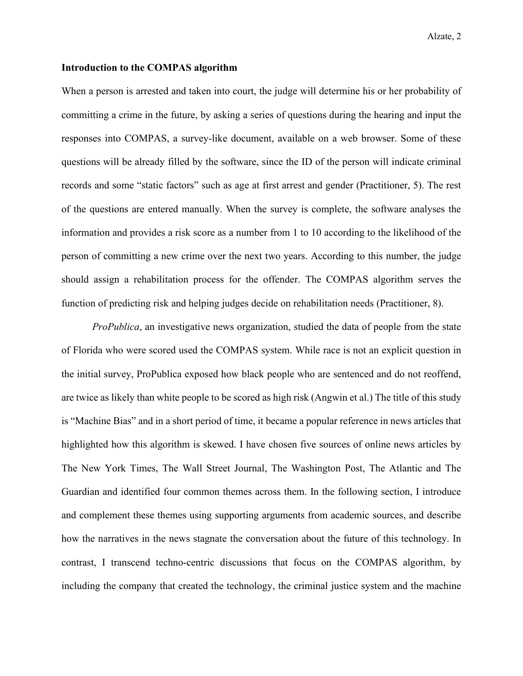# **Introduction to the COMPAS algorithm**

When a person is arrested and taken into court, the judge will determine his or her probability of committing a crime in the future, by asking a series of questions during the hearing and input the responses into COMPAS, a survey-like document, available on a web browser. Some of these questions will be already filled by the software, since the ID of the person will indicate criminal records and some "static factors" such as age at first arrest and gender (Practitioner, 5). The rest of the questions are entered manually. When the survey is complete, the software analyses the information and provides a risk score as a number from 1 to 10 according to the likelihood of the person of committing a new crime over the next two years. According to this number, the judge should assign a rehabilitation process for the offender. The COMPAS algorithm serves the function of predicting risk and helping judges decide on rehabilitation needs (Practitioner, 8).

*ProPublica*, an investigative news organization, studied the data of people from the state of Florida who were scored used the COMPAS system. While race is not an explicit question in the initial survey, ProPublica exposed how black people who are sentenced and do not reoffend, are twice as likely than white people to be scored as high risk (Angwin et al.) The title of this study is "Machine Bias" and in a short period of time, it became a popular reference in news articles that highlighted how this algorithm is skewed. I have chosen five sources of online news articles by The New York Times, The Wall Street Journal, The Washington Post, The Atlantic and The Guardian and identified four common themes across them. In the following section, I introduce and complement these themes using supporting arguments from academic sources, and describe how the narratives in the news stagnate the conversation about the future of this technology. In contrast, I transcend techno-centric discussions that focus on the COMPAS algorithm, by including the company that created the technology, the criminal justice system and the machine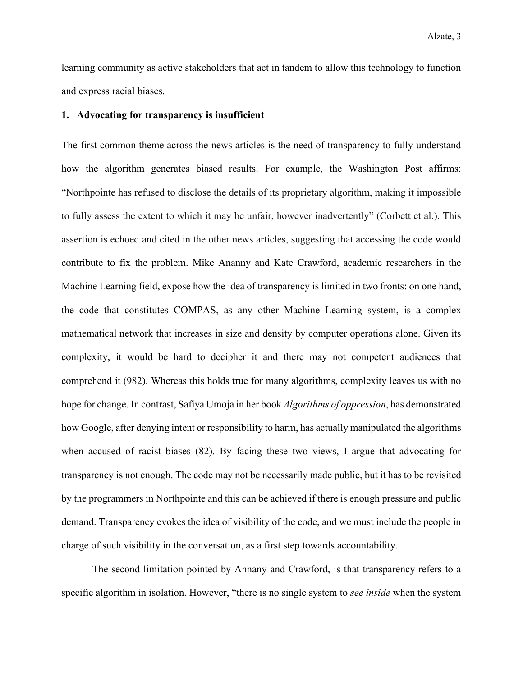learning community as active stakeholders that act in tandem to allow this technology to function and express racial biases.

# **1. Advocating for transparency is insufficient**

The first common theme across the news articles is the need of transparency to fully understand how the algorithm generates biased results. For example, the Washington Post affirms: "Northpointe has refused to disclose the details of its proprietary algorithm, making it impossible to fully assess the extent to which it may be unfair, however inadvertently" (Corbett et al.). This assertion is echoed and cited in the other news articles, suggesting that accessing the code would contribute to fix the problem. Mike Ananny and Kate Crawford, academic researchers in the Machine Learning field, expose how the idea of transparency is limited in two fronts: on one hand, the code that constitutes COMPAS, as any other Machine Learning system, is a complex mathematical network that increases in size and density by computer operations alone. Given its complexity, it would be hard to decipher it and there may not competent audiences that comprehend it (982). Whereas this holds true for many algorithms, complexity leaves us with no hope for change. In contrast, Safiya Umoja in her book *Algorithms of oppression*, has demonstrated how Google, after denying intent or responsibility to harm, has actually manipulated the algorithms when accused of racist biases (82). By facing these two views, I argue that advocating for transparency is not enough. The code may not be necessarily made public, but it has to be revisited by the programmers in Northpointe and this can be achieved if there is enough pressure and public demand. Transparency evokes the idea of visibility of the code, and we must include the people in charge of such visibility in the conversation, as a first step towards accountability.

The second limitation pointed by Annany and Crawford, is that transparency refers to a specific algorithm in isolation. However, "there is no single system to *see inside* when the system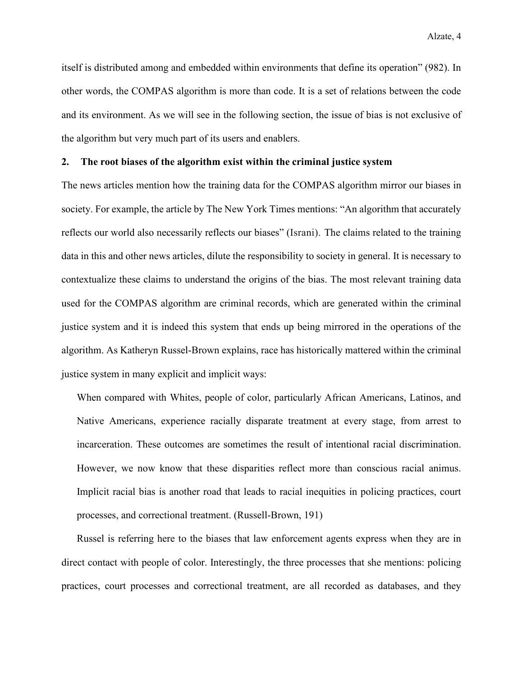Alzate, 4

itself is distributed among and embedded within environments that define its operation" (982). In other words, the COMPAS algorithm is more than code. It is a set of relations between the code and its environment. As we will see in the following section, the issue of bias is not exclusive of the algorithm but very much part of its users and enablers.

# **2. The root biases of the algorithm exist within the criminal justice system**

The news articles mention how the training data for the COMPAS algorithm mirror our biases in society. For example, the article by The New York Times mentions: "An algorithm that accurately reflects our world also necessarily reflects our biases" (Israni). The claims related to the training data in this and other news articles, dilute the responsibility to society in general. It is necessary to contextualize these claims to understand the origins of the bias. The most relevant training data used for the COMPAS algorithm are criminal records, which are generated within the criminal justice system and it is indeed this system that ends up being mirrored in the operations of the algorithm. As Katheryn Russel-Brown explains, race has historically mattered within the criminal justice system in many explicit and implicit ways:

When compared with Whites, people of color, particularly African Americans, Latinos, and Native Americans, experience racially disparate treatment at every stage, from arrest to incarceration. These outcomes are sometimes the result of intentional racial discrimination. However, we now know that these disparities reflect more than conscious racial animus. Implicit racial bias is another road that leads to racial inequities in policing practices, court processes, and correctional treatment. (Russell-Brown, 191)

Russel is referring here to the biases that law enforcement agents express when they are in direct contact with people of color. Interestingly, the three processes that she mentions: policing practices, court processes and correctional treatment, are all recorded as databases, and they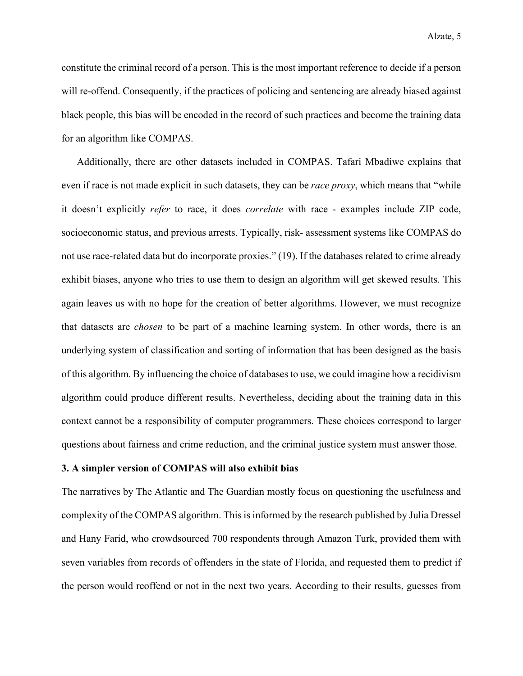constitute the criminal record of a person. This is the most important reference to decide if a person will re-offend. Consequently, if the practices of policing and sentencing are already biased against black people, this bias will be encoded in the record of such practices and become the training data for an algorithm like COMPAS.

Additionally, there are other datasets included in COMPAS. Tafari Mbadiwe explains that even if race is not made explicit in such datasets, they can be *race proxy*, which means that "while it doesn't explicitly *refer* to race, it does *correlate* with race - examples include ZIP code, socioeconomic status, and previous arrests. Typically, risk- assessment systems like COMPAS do not use race-related data but do incorporate proxies." (19). If the databases related to crime already exhibit biases, anyone who tries to use them to design an algorithm will get skewed results. This again leaves us with no hope for the creation of better algorithms. However, we must recognize that datasets are *chosen* to be part of a machine learning system. In other words, there is an underlying system of classification and sorting of information that has been designed as the basis of this algorithm. By influencing the choice of databases to use, we could imagine how a recidivism algorithm could produce different results. Nevertheless, deciding about the training data in this context cannot be a responsibility of computer programmers. These choices correspond to larger questions about fairness and crime reduction, and the criminal justice system must answer those.

#### **3. A simpler version of COMPAS will also exhibit bias**

The narratives by The Atlantic and The Guardian mostly focus on questioning the usefulness and complexity of the COMPAS algorithm. This is informed by the research published by Julia Dressel and Hany Farid, who crowdsourced 700 respondents through Amazon Turk, provided them with seven variables from records of offenders in the state of Florida, and requested them to predict if the person would reoffend or not in the next two years. According to their results, guesses from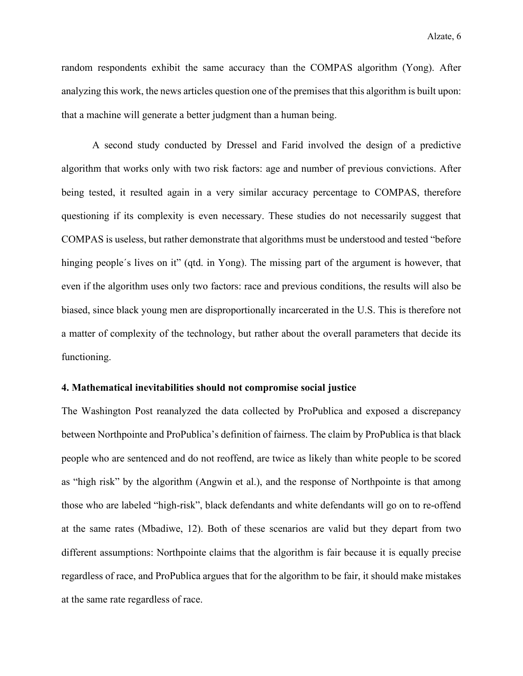random respondents exhibit the same accuracy than the COMPAS algorithm (Yong). After analyzing this work, the news articles question one of the premises that this algorithm is built upon: that a machine will generate a better judgment than a human being.

A second study conducted by Dressel and Farid involved the design of a predictive algorithm that works only with two risk factors: age and number of previous convictions. After being tested, it resulted again in a very similar accuracy percentage to COMPAS, therefore questioning if its complexity is even necessary. These studies do not necessarily suggest that COMPAS is useless, but rather demonstrate that algorithms must be understood and tested "before hinging people's lives on it" (qtd. in Yong). The missing part of the argument is however, that even if the algorithm uses only two factors: race and previous conditions, the results will also be biased, since black young men are disproportionally incarcerated in the U.S. This is therefore not a matter of complexity of the technology, but rather about the overall parameters that decide its functioning.

# **4. Mathematical inevitabilities should not compromise social justice**

The Washington Post reanalyzed the data collected by ProPublica and exposed a discrepancy between Northpointe and ProPublica's definition of fairness. The claim by ProPublica is that black people who are sentenced and do not reoffend, are twice as likely than white people to be scored as "high risk" by the algorithm (Angwin et al.), and the response of Northpointe is that among those who are labeled "high-risk", black defendants and white defendants will go on to re-offend at the same rates (Mbadiwe, 12). Both of these scenarios are valid but they depart from two different assumptions: Northpointe claims that the algorithm is fair because it is equally precise regardless of race, and ProPublica argues that for the algorithm to be fair, it should make mistakes at the same rate regardless of race.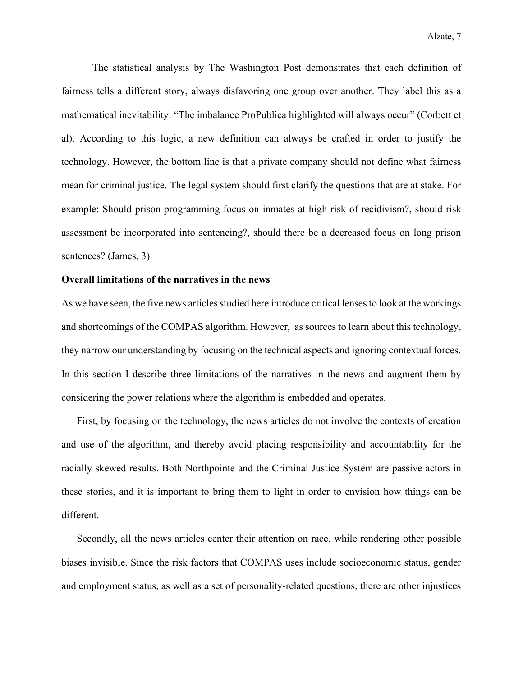The statistical analysis by The Washington Post demonstrates that each definition of fairness tells a different story, always disfavoring one group over another. They label this as a mathematical inevitability: "The imbalance ProPublica highlighted will always occur" (Corbett et al). According to this logic, a new definition can always be crafted in order to justify the technology. However, the bottom line is that a private company should not define what fairness mean for criminal justice. The legal system should first clarify the questions that are at stake. For example: Should prison programming focus on inmates at high risk of recidivism?, should risk assessment be incorporated into sentencing?, should there be a decreased focus on long prison sentences? (James, 3)

# **Overall limitations of the narratives in the news**

As we have seen, the five news articles studied here introduce critical lenses to look at the workings and shortcomings of the COMPAS algorithm. However, as sources to learn about this technology, they narrow our understanding by focusing on the technical aspects and ignoring contextual forces. In this section I describe three limitations of the narratives in the news and augment them by considering the power relations where the algorithm is embedded and operates.

First, by focusing on the technology, the news articles do not involve the contexts of creation and use of the algorithm, and thereby avoid placing responsibility and accountability for the racially skewed results. Both Northpointe and the Criminal Justice System are passive actors in these stories, and it is important to bring them to light in order to envision how things can be different.

Secondly, all the news articles center their attention on race, while rendering other possible biases invisible. Since the risk factors that COMPAS uses include socioeconomic status, gender and employment status, as well as a set of personality-related questions, there are other injustices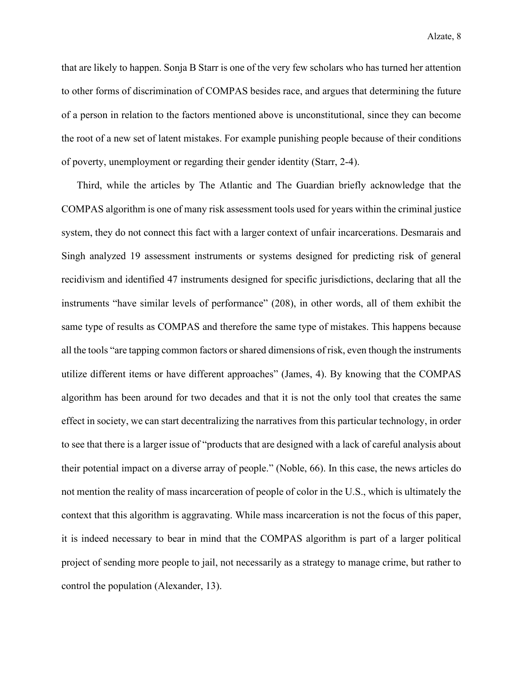that are likely to happen. Sonja B Starr is one of the very few scholars who has turned her attention to other forms of discrimination of COMPAS besides race, and argues that determining the future of a person in relation to the factors mentioned above is unconstitutional, since they can become the root of a new set of latent mistakes. For example punishing people because of their conditions of poverty, unemployment or regarding their gender identity (Starr, 2-4).

Third, while the articles by The Atlantic and The Guardian briefly acknowledge that the COMPAS algorithm is one of many risk assessment tools used for years within the criminal justice system, they do not connect this fact with a larger context of unfair incarcerations. Desmarais and Singh analyzed 19 assessment instruments or systems designed for predicting risk of general recidivism and identified 47 instruments designed for specific jurisdictions, declaring that all the instruments "have similar levels of performance" (208), in other words, all of them exhibit the same type of results as COMPAS and therefore the same type of mistakes. This happens because all the tools "are tapping common factors or shared dimensions of risk, even though the instruments utilize different items or have different approaches" (James, 4). By knowing that the COMPAS algorithm has been around for two decades and that it is not the only tool that creates the same effect in society, we can start decentralizing the narratives from this particular technology, in order to see that there is a larger issue of "products that are designed with a lack of careful analysis about their potential impact on a diverse array of people." (Noble, 66). In this case, the news articles do not mention the reality of mass incarceration of people of color in the U.S., which is ultimately the context that this algorithm is aggravating. While mass incarceration is not the focus of this paper, it is indeed necessary to bear in mind that the COMPAS algorithm is part of a larger political project of sending more people to jail, not necessarily as a strategy to manage crime, but rather to control the population (Alexander, 13).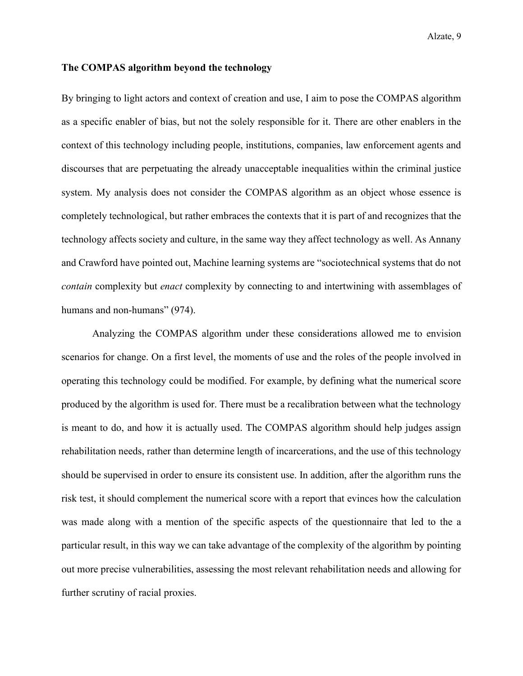# **The COMPAS algorithm beyond the technology**

By bringing to light actors and context of creation and use, I aim to pose the COMPAS algorithm as a specific enabler of bias, but not the solely responsible for it. There are other enablers in the context of this technology including people, institutions, companies, law enforcement agents and discourses that are perpetuating the already unacceptable inequalities within the criminal justice system. My analysis does not consider the COMPAS algorithm as an object whose essence is completely technological, but rather embraces the contexts that it is part of and recognizes that the technology affects society and culture, in the same way they affect technology as well. As Annany and Crawford have pointed out, Machine learning systems are "sociotechnical systems that do not *contain* complexity but *enact* complexity by connecting to and intertwining with assemblages of humans and non-humans" (974).

Analyzing the COMPAS algorithm under these considerations allowed me to envision scenarios for change. On a first level, the moments of use and the roles of the people involved in operating this technology could be modified. For example, by defining what the numerical score produced by the algorithm is used for. There must be a recalibration between what the technology is meant to do, and how it is actually used. The COMPAS algorithm should help judges assign rehabilitation needs, rather than determine length of incarcerations, and the use of this technology should be supervised in order to ensure its consistent use. In addition, after the algorithm runs the risk test, it should complement the numerical score with a report that evinces how the calculation was made along with a mention of the specific aspects of the questionnaire that led to the a particular result, in this way we can take advantage of the complexity of the algorithm by pointing out more precise vulnerabilities, assessing the most relevant rehabilitation needs and allowing for further scrutiny of racial proxies.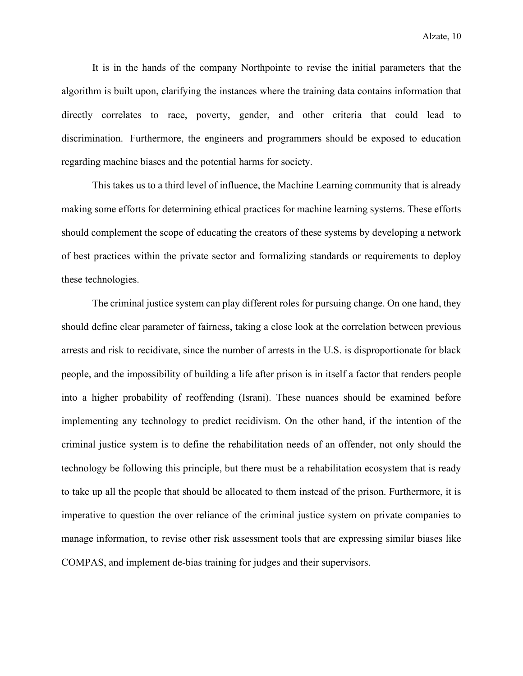It is in the hands of the company Northpointe to revise the initial parameters that the algorithm is built upon, clarifying the instances where the training data contains information that directly correlates to race, poverty, gender, and other criteria that could lead to discrimination. Furthermore, the engineers and programmers should be exposed to education regarding machine biases and the potential harms for society.

This takes us to a third level of influence, the Machine Learning community that is already making some efforts for determining ethical practices for machine learning systems. These efforts should complement the scope of educating the creators of these systems by developing a network of best practices within the private sector and formalizing standards or requirements to deploy these technologies.

The criminal justice system can play different roles for pursuing change. On one hand, they should define clear parameter of fairness, taking a close look at the correlation between previous arrests and risk to recidivate, since the number of arrests in the U.S. is disproportionate for black people, and the impossibility of building a life after prison is in itself a factor that renders people into a higher probability of reoffending (Israni). These nuances should be examined before implementing any technology to predict recidivism. On the other hand, if the intention of the criminal justice system is to define the rehabilitation needs of an offender, not only should the technology be following this principle, but there must be a rehabilitation ecosystem that is ready to take up all the people that should be allocated to them instead of the prison. Furthermore, it is imperative to question the over reliance of the criminal justice system on private companies to manage information, to revise other risk assessment tools that are expressing similar biases like COMPAS, and implement de-bias training for judges and their supervisors.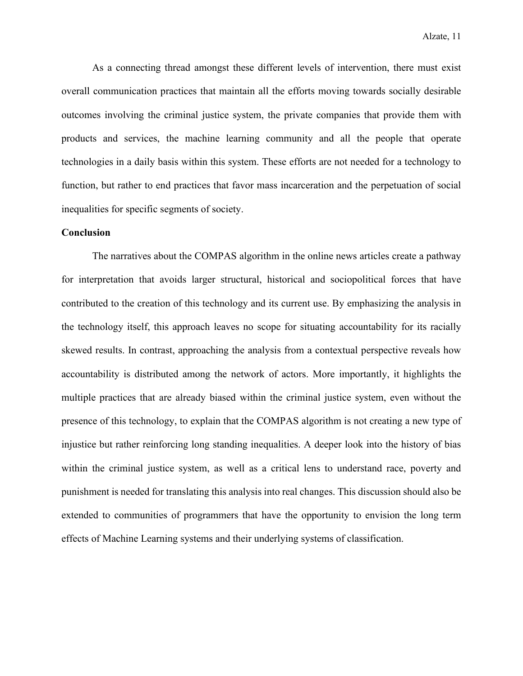As a connecting thread amongst these different levels of intervention, there must exist overall communication practices that maintain all the efforts moving towards socially desirable outcomes involving the criminal justice system, the private companies that provide them with products and services, the machine learning community and all the people that operate technologies in a daily basis within this system. These efforts are not needed for a technology to function, but rather to end practices that favor mass incarceration and the perpetuation of social inequalities for specific segments of society.

# **Conclusion**

The narratives about the COMPAS algorithm in the online news articles create a pathway for interpretation that avoids larger structural, historical and sociopolitical forces that have contributed to the creation of this technology and its current use. By emphasizing the analysis in the technology itself, this approach leaves no scope for situating accountability for its racially skewed results. In contrast, approaching the analysis from a contextual perspective reveals how accountability is distributed among the network of actors. More importantly, it highlights the multiple practices that are already biased within the criminal justice system, even without the presence of this technology, to explain that the COMPAS algorithm is not creating a new type of injustice but rather reinforcing long standing inequalities. A deeper look into the history of bias within the criminal justice system, as well as a critical lens to understand race, poverty and punishment is needed for translating this analysis into real changes. This discussion should also be extended to communities of programmers that have the opportunity to envision the long term effects of Machine Learning systems and their underlying systems of classification.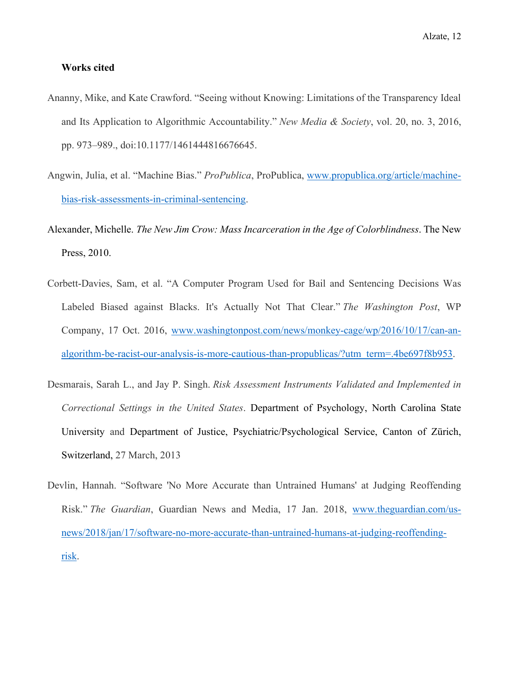# **Works cited**

- Ananny, Mike, and Kate Crawford. "Seeing without Knowing: Limitations of the Transparency Ideal and Its Application to Algorithmic Accountability." *New Media & Society*, vol. 20, no. 3, 2016, pp. 973–989., doi:10.1177/1461444816676645.
- Angwin, Julia, et al. "Machine Bias." *ProPublica*, ProPublica, [www.propublica.org/article/machine](http://www.propublica.org/article/machine-bias-risk-assessments-in-criminal-sentencing)[bias-risk-assessments-in-criminal-sentencing.](http://www.propublica.org/article/machine-bias-risk-assessments-in-criminal-sentencing)
- Alexander, Michelle. *The New Jim Crow: Mass Incarceration in the Age of Colorblindness*. The New Press, 2010.
- Corbett-Davies, Sam, et al. "A Computer Program Used for Bail and Sentencing Decisions Was Labeled Biased against Blacks. It's Actually Not That Clear." *The Washington Post*, WP Company, 17 Oct. 2016, [www.washingtonpost.com/news/monkey-cage/wp/2016/10/17/can-an](http://www.washingtonpost.com/news/monkey-cage/wp/2016/10/17/can-an-algorithm-be-racist-our-analysis-is-more-cautious-than-propublicas/?utm_term=.4be697f8b953)[algorithm-be-racist-our-analysis-is-more-cautious-than-propublicas/?utm\\_term=.4be697f8b953.](http://www.washingtonpost.com/news/monkey-cage/wp/2016/10/17/can-an-algorithm-be-racist-our-analysis-is-more-cautious-than-propublicas/?utm_term=.4be697f8b953)
- Desmarais, Sarah L., and Jay P. Singh. *Risk Assessment Instruments Validated and Implemented in Correctional Settings in the United States*. Department of Psychology, North Carolina State University and Department of Justice, Psychiatric/Psychological Service, Canton of Zürich, Switzerland, 27 March, 2013
- Devlin, Hannah. "Software 'No More Accurate than Untrained Humans' at Judging Reoffending Risk." *The Guardian*, Guardian News and Media, 17 Jan. 2018, [www.theguardian.com/us](http://www.theguardian.com/us-news/2018/jan/17/software-no-more-accurate-than-untrained-humans-at-judging-reoffending-risk)[news/2018/jan/17/software-no-more-accurate-than-untrained-humans-at-judging-reoffending](http://www.theguardian.com/us-news/2018/jan/17/software-no-more-accurate-than-untrained-humans-at-judging-reoffending-risk)[risk.](http://www.theguardian.com/us-news/2018/jan/17/software-no-more-accurate-than-untrained-humans-at-judging-reoffending-risk)